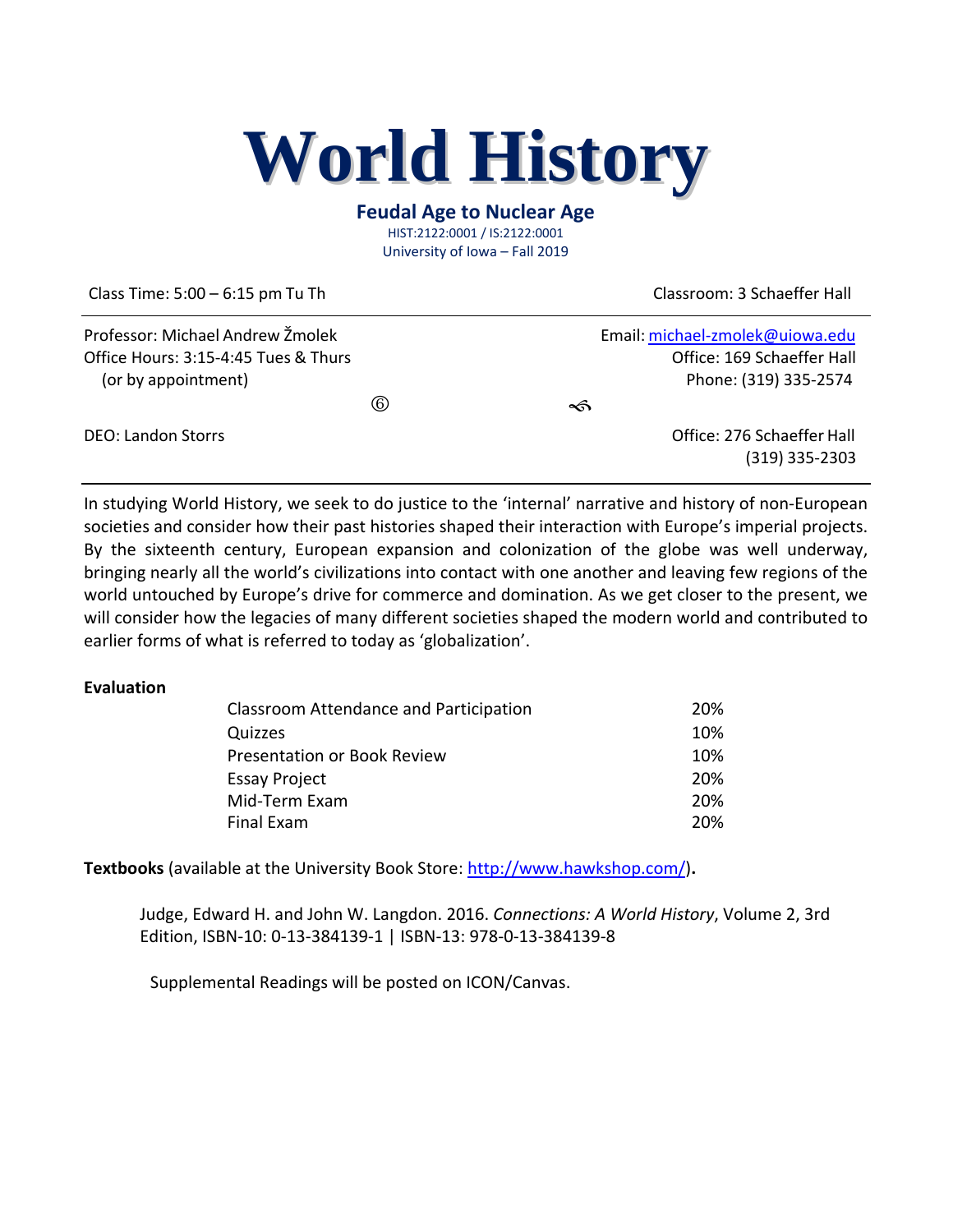# **World History**

#### **Feudal Age to Nuclear Age** HIST:2122:0001 / IS:2122:0001

University of Iowa – Fall 2019

Class Time: 5:00 – 6:15 pm Tu Th Classroom: 3 Schaeffer Hall

| Professor: Michael Andrew Žmolek     |                | Email: michael-zmolek@uiowa.edu |
|--------------------------------------|----------------|---------------------------------|
| Office Hours: 3:15-4:45 Tues & Thurs |                | Office: 169 Schaeffer Hall      |
| (or by appointment)                  |                | Phone: (319) 335-2574           |
|                                      | $^{\circledR}$ | ∽                               |
| <b>DEO: Landon Storrs</b>            |                | Office: 276 Schaeffer Hall      |
|                                      |                | $(319)$ 335-2303                |

In studying World History, we seek to do justice to the 'internal' narrative and history of non-European societies and consider how their past histories shaped their interaction with Europe's imperial projects. By the sixteenth century, European expansion and colonization of the globe was well underway, bringing nearly all the world's civilizations into contact with one another and leaving few regions of the world untouched by Europe's drive for commerce and domination. As we get closer to the present, we will consider how the legacies of many different societies shaped the modern world and contributed to earlier forms of what is referred to today as 'globalization'.

#### **Evaluation**

| Classroom Attendance and Participation | 20% |
|----------------------------------------|-----|
| Quizzes                                | 10% |
| <b>Presentation or Book Review</b>     | 10% |
| <b>Essay Project</b>                   | 20% |
| Mid-Term Exam                          | 20% |
| Final Exam                             | 20% |

**Textbooks** (available at the University Book Store:<http://www.hawkshop.com/>)**.**

Judge, Edward H. and John W. Langdon. 2016. *Connections: A World History*, Volume 2, 3rd Edition, ISBN-10: 0-13-384139-1 | ISBN-13: 978-0-13-384139-8

Supplemental Readings will be posted on ICON/Canvas.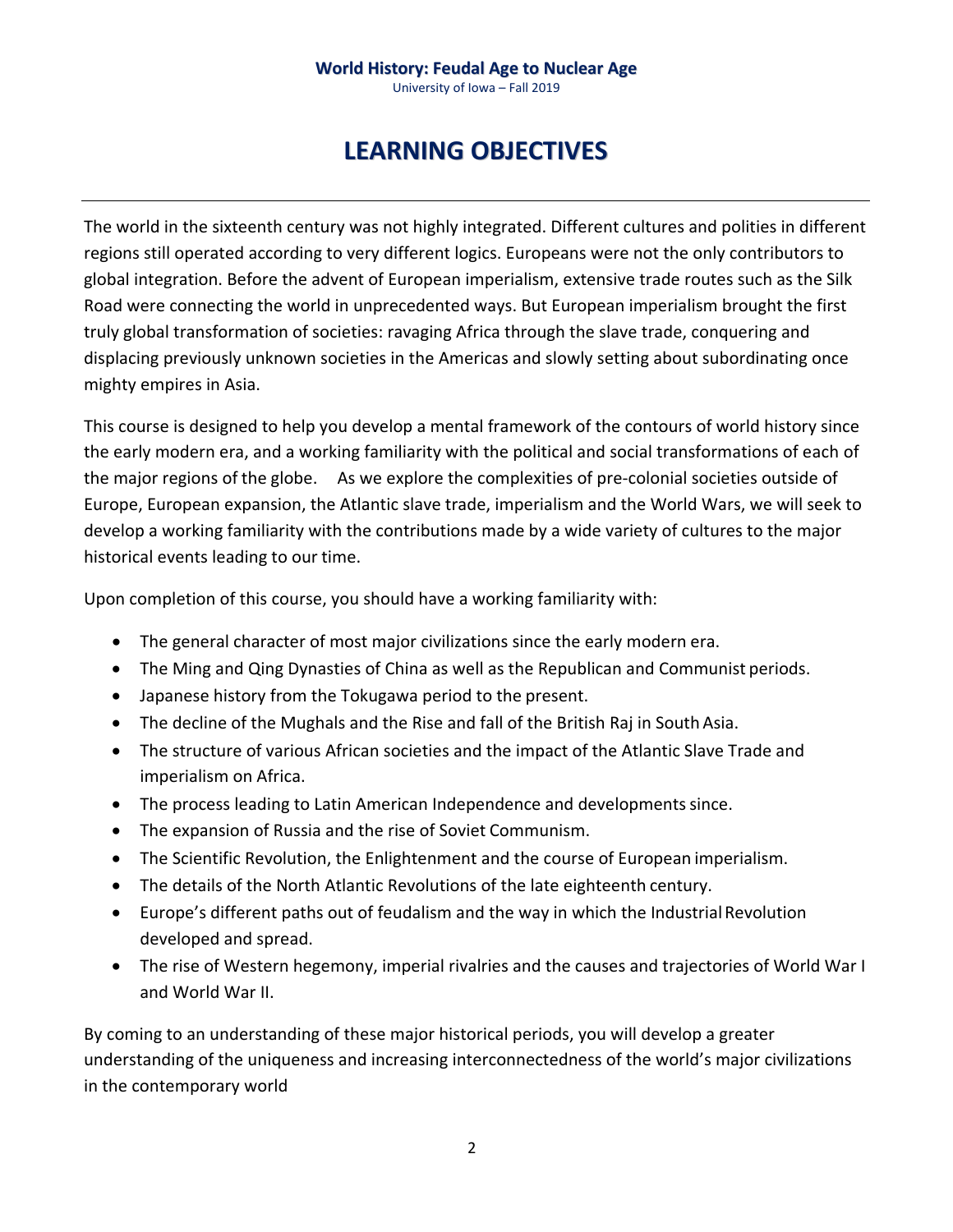University of Iowa – Fall 2019

## **LEARNING OBJECTIVES**

The world in the sixteenth century was not highly integrated. Different cultures and polities in different regions still operated according to very different logics. Europeans were not the only contributors to global integration. Before the advent of European imperialism, extensive trade routes such as the Silk Road were connecting the world in unprecedented ways. But European imperialism brought the first truly global transformation of societies: ravaging Africa through the slave trade, conquering and displacing previously unknown societies in the Americas and slowly setting about subordinating once mighty empires in Asia.

This course is designed to help you develop a mental framework of the contours of world history since the early modern era, and a working familiarity with the political and social transformations of each of the major regions of the globe. As we explore the complexities of pre-colonial societies outside of Europe, European expansion, the Atlantic slave trade, imperialism and the World Wars, we will seek to develop a working familiarity with the contributions made by a wide variety of cultures to the major historical events leading to our time.

Upon completion of this course, you should have a working familiarity with:

- The general character of most major civilizations since the early modern era.
- The Ming and Qing Dynasties of China as well as the Republican and Communist periods.
- Japanese history from the Tokugawa period to the present.
- The decline of the Mughals and the Rise and fall of the British Raj in South Asia.
- The structure of various African societies and the impact of the Atlantic Slave Trade and imperialism on Africa.
- The process leading to Latin American Independence and developments since.
- The expansion of Russia and the rise of Soviet Communism.
- The Scientific Revolution, the Enlightenment and the course of European imperialism.
- The details of the North Atlantic Revolutions of the late eighteenth century.
- Europe's different paths out of feudalism and the way in which the IndustrialRevolution developed and spread.
- The rise of Western hegemony, imperial rivalries and the causes and trajectories of World War I and World War II.

By coming to an understanding of these major historical periods, you will develop a greater understanding of the uniqueness and increasing interconnectedness of the world's major civilizations in the contemporary world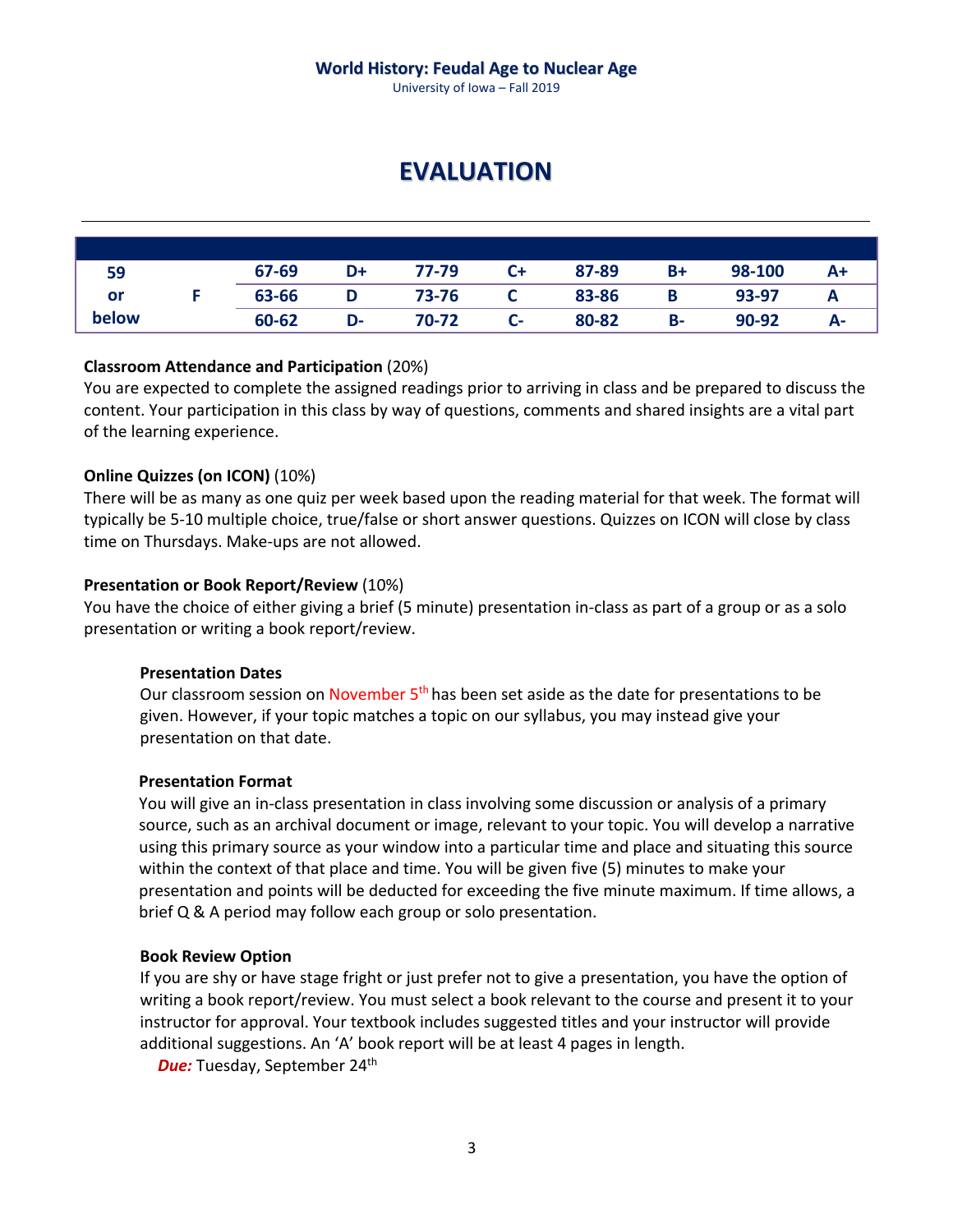University of Iowa – Fall 2019

## **EVALUATION**

| 59    | 67-69 | D+ | 77-79 | $C+$ | 87-89 | B+        | 98-100 | A+ |
|-------|-------|----|-------|------|-------|-----------|--------|----|
| or    | 63-66 | D  | 73-76 |      | 83-86 |           | 93-97  | A  |
| below | 60-62 | D- | 70-72 | $C-$ | 80-82 | <b>B-</b> | 90-92  | А- |

#### **Classroom Attendance and Participation** (20%)

You are expected to complete the assigned readings prior to arriving in class and be prepared to discuss the content. Your participation in this class by way of questions, comments and shared insights are a vital part of the learning experience.

#### **Online Quizzes (on ICON)** (10%)

There will be as many as one quiz per week based upon the reading material for that week. The format will typically be 5-10 multiple choice, true/false or short answer questions. Quizzes on ICON will close by class time on Thursdays. Make-ups are not allowed.

#### **Presentation or Book Report/Review** (10%)

You have the choice of either giving a brief (5 minute) presentation in-class as part of a group or as a solo presentation or writing a book report/review.

#### **Presentation Dates**

Our classroom session on November 5<sup>th</sup> has been set aside as the date for presentations to be given. However, if your topic matches a topic on our syllabus, you may instead give your presentation on that date.

#### **Presentation Format**

You will give an in-class presentation in class involving some discussion or analysis of a primary source, such as an archival document or image, relevant to your topic. You will develop a narrative using this primary source as your window into a particular time and place and situating this source within the context of that place and time. You will be given five (5) minutes to make your presentation and points will be deducted for exceeding the five minute maximum. If time allows, a brief Q & A period may follow each group or solo presentation.

#### **Book Review Option**

If you are shy or have stage fright or just prefer not to give a presentation, you have the option of writing a book report/review. You must select a book relevant to the course and present it to your instructor for approval. Your textbook includes suggested titles and your instructor will provide additional suggestions. An 'A' book report will be at least 4 pages in length.

**Due:** Tuesday, September 24<sup>th</sup>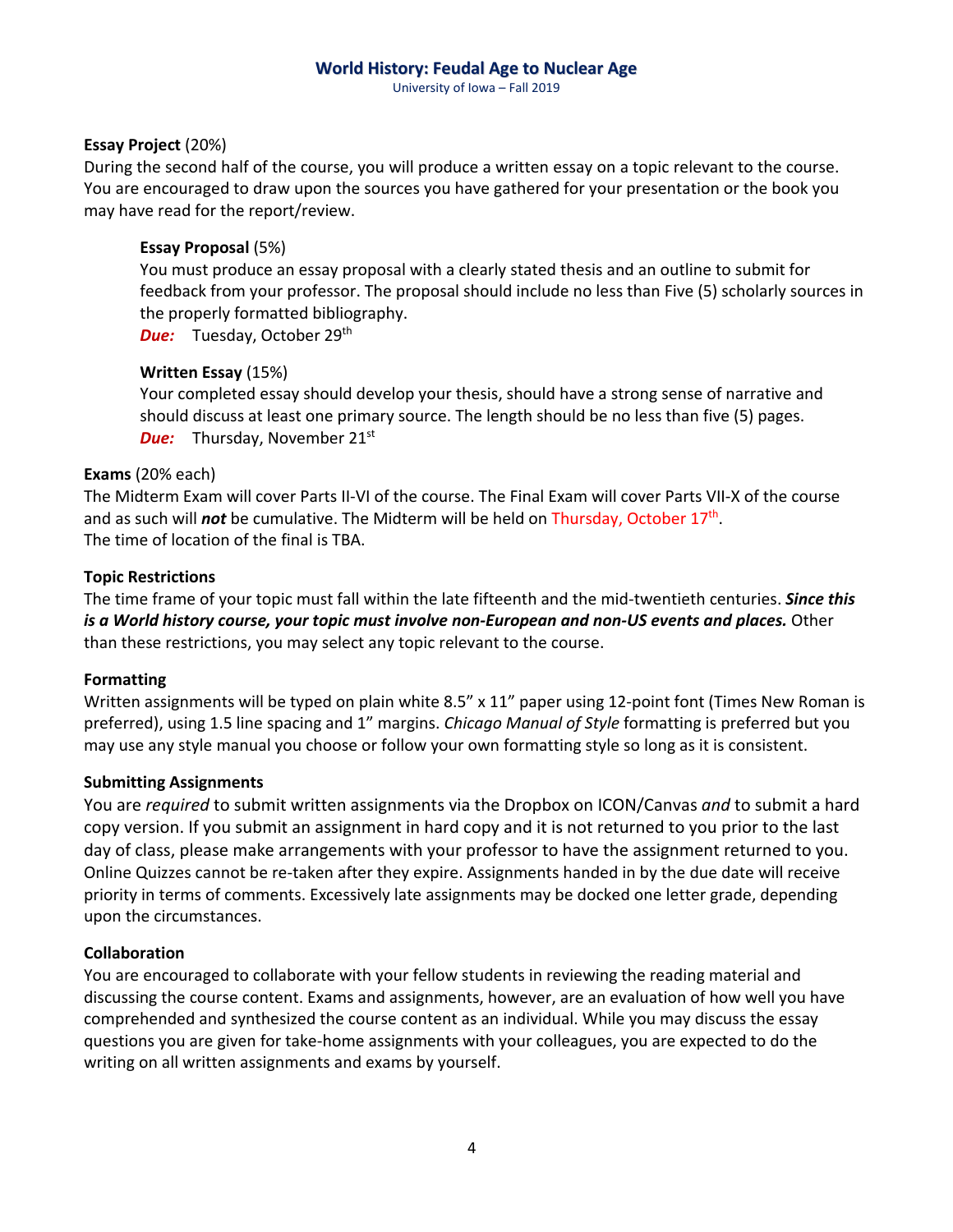University of Iowa – Fall 2019

#### **Essay Project** (20%)

During the second half of the course, you will produce a written essay on a topic relevant to the course. You are encouraged to draw upon the sources you have gathered for your presentation or the book you may have read for the report/review.

#### **Essay Proposal** (5%)

You must produce an essay proposal with a clearly stated thesis and an outline to submit for feedback from your professor. The proposal should include no less than Five (5) scholarly sources in the properly formatted bibliography.

**Due:** Tuesday, October 29<sup>th</sup>

#### **Written Essay** (15%)

Your completed essay should develop your thesis, should have a strong sense of narrative and should discuss at least one primary source. The length should be no less than five (5) pages. **Due:** Thursday, November 21<sup>st</sup>

#### **Exams** (20% each)

The Midterm Exam will cover Parts II-VI of the course. The Final Exam will cover Parts VII-X of the course and as such will *not* be cumulative. The Midterm will be held on Thursday, October 17th. The time of location of the final is TBA.

#### **Topic Restrictions**

The time frame of your topic must fall within the late fifteenth and the mid-twentieth centuries. *Since this is a World history course, your topic must involve non-European and non-US events and places.* Other than these restrictions, you may select any topic relevant to the course.

#### **Formatting**

Written assignments will be typed on plain white 8.5" x 11" paper using 12-point font (Times New Roman is preferred), using 1.5 line spacing and 1" margins. *Chicago Manual of Style* formatting is preferred but you may use any style manual you choose or follow your own formatting style so long as it is consistent.

#### **Submitting Assignments**

You are *required* to submit written assignments via the Dropbox on ICON/Canvas *and* to submit a hard copy version. If you submit an assignment in hard copy and it is not returned to you prior to the last day of class, please make arrangements with your professor to have the assignment returned to you. Online Quizzes cannot be re-taken after they expire. Assignments handed in by the due date will receive priority in terms of comments. Excessively late assignments may be docked one letter grade, depending upon the circumstances.

#### **Collaboration**

You are encouraged to collaborate with your fellow students in reviewing the reading material and discussing the course content. Exams and assignments, however, are an evaluation of how well you have comprehended and synthesized the course content as an individual. While you may discuss the essay questions you are given for take-home assignments with your colleagues, you are expected to do the writing on all written assignments and exams by yourself.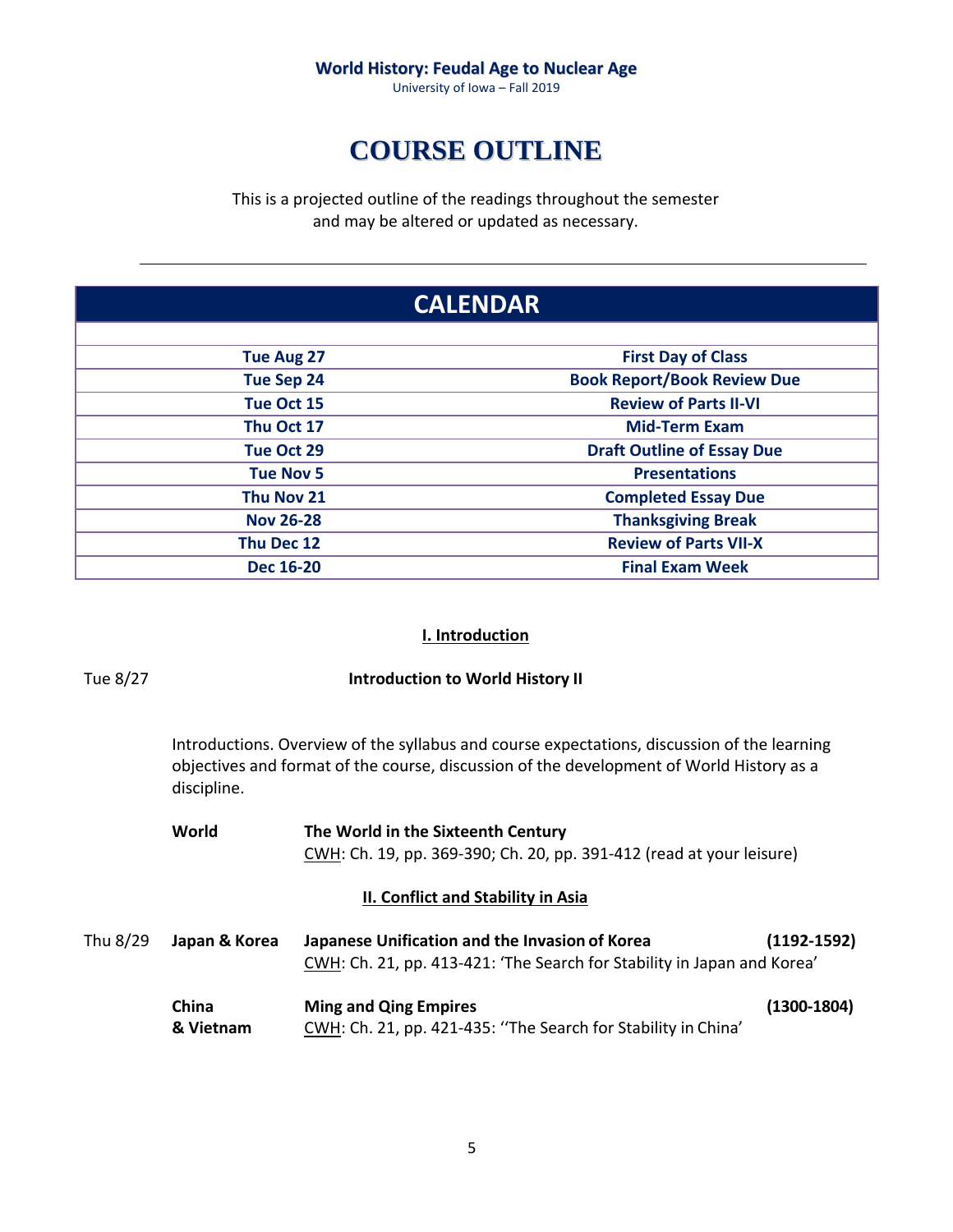University of Iowa – Fall 2019

# **COURSE OUTLINE**

This is a projected outline of the readings throughout the semester and may be altered or updated as necessary.

| <b>CALENDAR</b>   |                                    |  |
|-------------------|------------------------------------|--|
| <b>Tue Aug 27</b> | <b>First Day of Class</b>          |  |
| <b>Tue Sep 24</b> | <b>Book Report/Book Review Due</b> |  |
| Tue Oct 15        | <b>Review of Parts II-VI</b>       |  |
| Thu Oct 17        | <b>Mid-Term Exam</b>               |  |
| Tue Oct 29        | <b>Draft Outline of Essay Due</b>  |  |
| <b>Tue Nov 5</b>  | <b>Presentations</b>               |  |
| Thu Nov 21        | <b>Completed Essay Due</b>         |  |
| <b>Nov 26-28</b>  | <b>Thanksgiving Break</b>          |  |
| Thu Dec 12        | <b>Review of Parts VII-X</b>       |  |
| <b>Dec 16-20</b>  | <b>Final Exam Week</b>             |  |

#### **I. Introduction**

| Tue 8/27 | <b>Introduction to World History II</b>                                                                                                                                                                |                                                                                                                           |                 |  |  |
|----------|--------------------------------------------------------------------------------------------------------------------------------------------------------------------------------------------------------|---------------------------------------------------------------------------------------------------------------------------|-----------------|--|--|
|          | Introductions. Overview of the syllabus and course expectations, discussion of the learning<br>objectives and format of the course, discussion of the development of World History as a<br>discipline. |                                                                                                                           |                 |  |  |
|          | World                                                                                                                                                                                                  | The World in the Sixteenth Century                                                                                        |                 |  |  |
|          |                                                                                                                                                                                                        | CWH: Ch. 19, pp. 369-390; Ch. 20, pp. 391-412 (read at your leisure)                                                      |                 |  |  |
|          |                                                                                                                                                                                                        | II. Conflict and Stability in Asia                                                                                        |                 |  |  |
| Thu 8/29 | Japan & Korea                                                                                                                                                                                          | Japanese Unification and the Invasion of Korea<br>CWH: Ch. 21, pp. 413-421: 'The Search for Stability in Japan and Korea' | $(1192 - 1592)$ |  |  |
|          | China<br>& Vietnam                                                                                                                                                                                     | <b>Ming and Qing Empires</b><br>CWH: Ch. 21, pp. 421-435: "The Search for Stability in China'                             | $(1300-1804)$   |  |  |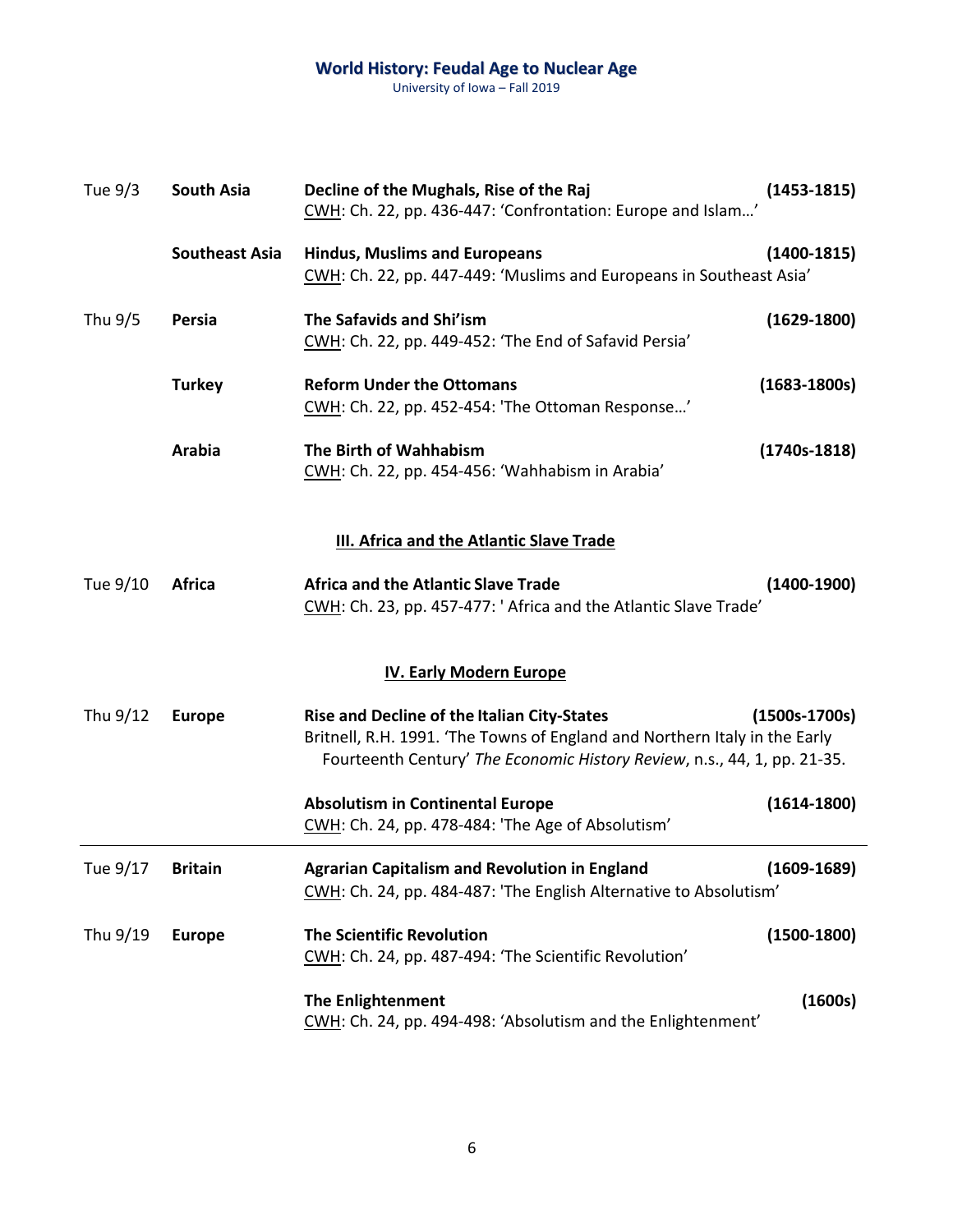| Tue 9/3  | <b>South Asia</b>     | Decline of the Mughals, Rise of the Raj<br>CWH: Ch. 22, pp. 436-447: 'Confrontation: Europe and Islam'                                                                                                | $(1453 - 1815)$  |
|----------|-----------------------|-------------------------------------------------------------------------------------------------------------------------------------------------------------------------------------------------------|------------------|
|          | <b>Southeast Asia</b> | <b>Hindus, Muslims and Europeans</b><br>CWH: Ch. 22, pp. 447-449: 'Muslims and Europeans in Southeast Asia'                                                                                           | $(1400-1815)$    |
| Thu 9/5  | Persia                | The Safavids and Shi'ism<br>CWH: Ch. 22, pp. 449-452: 'The End of Safavid Persia'                                                                                                                     | $(1629 - 1800)$  |
|          | <b>Turkey</b>         | <b>Reform Under the Ottomans</b><br>CWH: Ch. 22, pp. 452-454: 'The Ottoman Response'                                                                                                                  | $(1683 - 1800s)$ |
|          | <b>Arabia</b>         | The Birth of Wahhabism<br>CWH: Ch. 22, pp. 454-456: 'Wahhabism in Arabia'                                                                                                                             | $(1740s-1818)$   |
|          |                       | <b>III. Africa and the Atlantic Slave Trade</b>                                                                                                                                                       |                  |
| Tue 9/10 | <b>Africa</b>         | <b>Africa and the Atlantic Slave Trade</b><br>CWH: Ch. 23, pp. 457-477: ' Africa and the Atlantic Slave Trade'                                                                                        | $(1400-1900)$    |
|          |                       | <b>IV. Early Modern Europe</b>                                                                                                                                                                        |                  |
| Thu 9/12 | <b>Europe</b>         | Rise and Decline of the Italian City-States<br>Britnell, R.H. 1991. 'The Towns of England and Northern Italy in the Early<br>Fourteenth Century' The Economic History Review, n.s., 44, 1, pp. 21-35. | $(1500s-1700s)$  |
|          |                       | <b>Absolutism in Continental Europe</b><br>CWH: Ch. 24, pp. 478-484: 'The Age of Absolutism'                                                                                                          | $(1614 - 1800)$  |
| Tue 9/17 | <b>Britain</b>        | <b>Agrarian Capitalism and Revolution in England</b><br>CWH: Ch. 24, pp. 484-487: 'The English Alternative to Absolutism'                                                                             | $(1609 - 1689)$  |
| Thu 9/19 | <b>Europe</b>         | <b>The Scientific Revolution</b><br>CWH: Ch. 24, pp. 487-494: 'The Scientific Revolution'                                                                                                             | $(1500-1800)$    |
|          |                       | <b>The Enlightenment</b><br>CWH: Ch. 24, pp. 494-498: 'Absolutism and the Enlightenment'                                                                                                              | (1600s)          |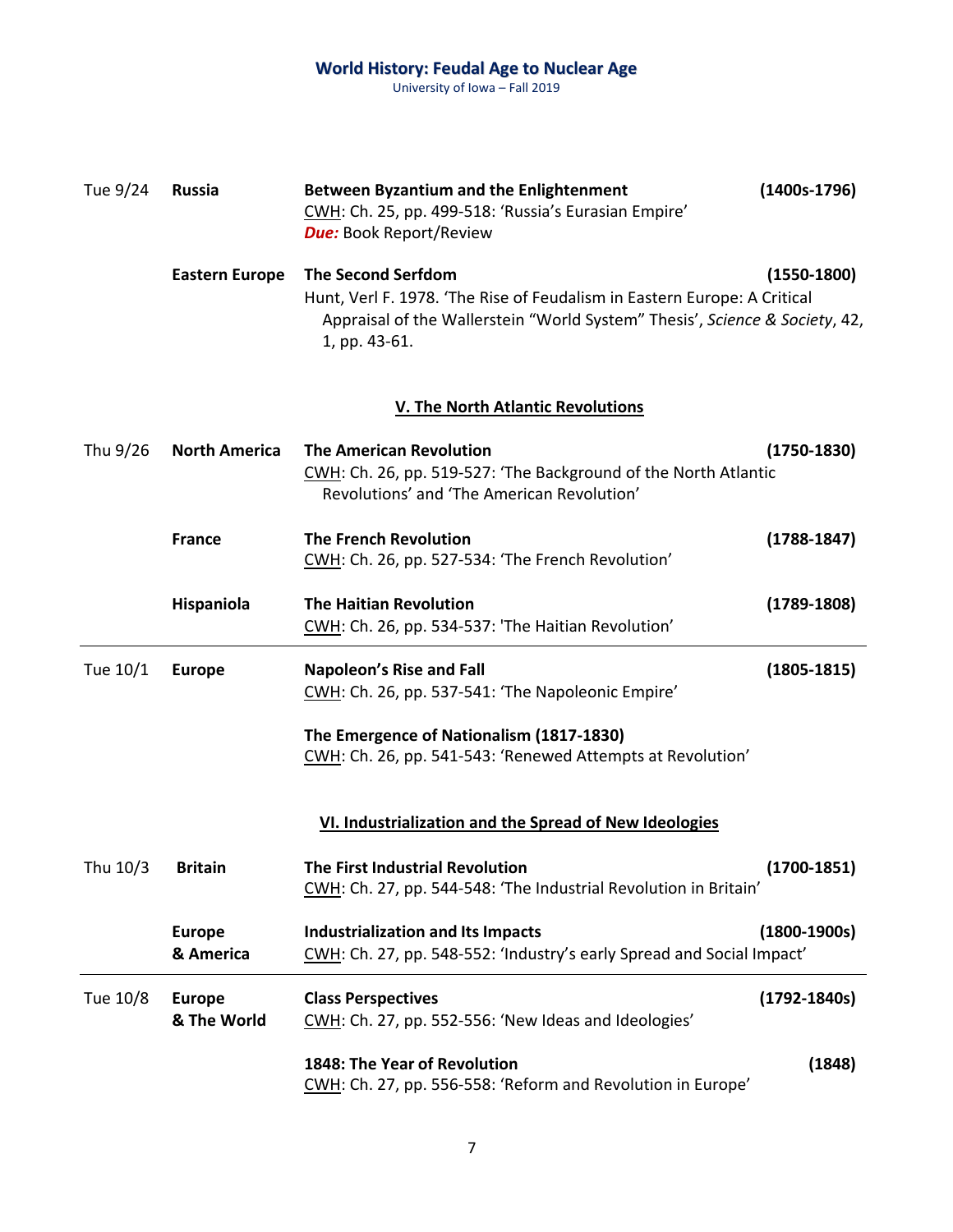| Tue 9/24 | <b>Russia</b>                | <b>Between Byzantium and the Enlightenment</b><br>CWH: Ch. 25, pp. 499-518: 'Russia's Eurasian Empire'<br><b>Due:</b> Book Report/Review                                                              | $(1400s-1796)$   |
|----------|------------------------------|-------------------------------------------------------------------------------------------------------------------------------------------------------------------------------------------------------|------------------|
|          | <b>Eastern Europe</b>        | <b>The Second Serfdom</b><br>Hunt, Verl F. 1978. 'The Rise of Feudalism in Eastern Europe: A Critical<br>Appraisal of the Wallerstein "World System" Thesis', Science & Society, 42,<br>1, pp. 43-61. | $(1550-1800)$    |
|          |                              | <b>V. The North Atlantic Revolutions</b>                                                                                                                                                              |                  |
| Thu 9/26 | <b>North America</b>         | <b>The American Revolution</b><br>CWH: Ch. 26, pp. 519-527: 'The Background of the North Atlantic<br>Revolutions' and 'The American Revolution'                                                       | $(1750-1830)$    |
|          | <b>France</b>                | <b>The French Revolution</b><br>CWH: Ch. 26, pp. 527-534: 'The French Revolution'                                                                                                                     | $(1788-1847)$    |
|          | Hispaniola                   | <b>The Haitian Revolution</b><br>CWH: Ch. 26, pp. 534-537: 'The Haitian Revolution'                                                                                                                   | $(1789-1808)$    |
| Tue 10/1 | <b>Europe</b>                | <b>Napoleon's Rise and Fall</b><br>CWH: Ch. 26, pp. 537-541: 'The Napoleonic Empire'                                                                                                                  | $(1805 - 1815)$  |
|          |                              | The Emergence of Nationalism (1817-1830)<br>CWH: Ch. 26, pp. 541-543: 'Renewed Attempts at Revolution'                                                                                                |                  |
|          |                              | VI. Industrialization and the Spread of New Ideologies                                                                                                                                                |                  |
| Thu 10/3 | <b>Britain</b>               | <b>The First Industrial Revolution</b><br>CWH: Ch. 27, pp. 544-548: 'The Industrial Revolution in Britain'                                                                                            | $(1700-1851)$    |
|          | <b>Europe</b><br>& America   | <b>Industrialization and Its Impacts</b><br>CWH: Ch. 27, pp. 548-552: 'Industry's early Spread and Social Impact'                                                                                     | $(1800-1900s)$   |
| Tue 10/8 | <b>Europe</b><br>& The World | <b>Class Perspectives</b><br>CWH: Ch. 27, pp. 552-556: 'New Ideas and Ideologies'                                                                                                                     | $(1792 - 1840s)$ |
|          |                              | 1848: The Year of Revolution<br>CWH: Ch. 27, pp. 556-558: 'Reform and Revolution in Europe'                                                                                                           | (1848)           |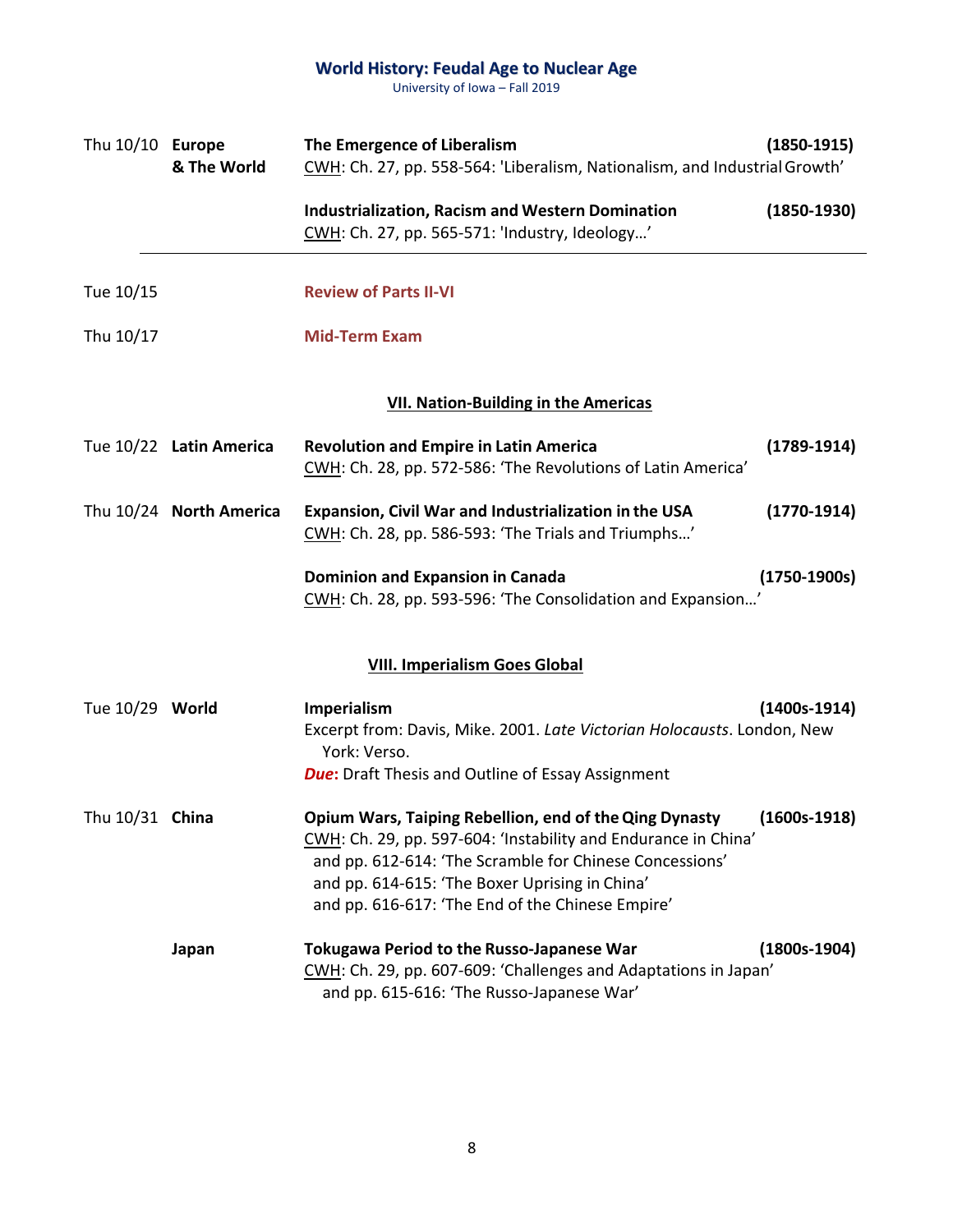| Thu 10/10 Europe | & The World             | The Emergence of Liberalism<br>CWH: Ch. 27, pp. 558-564: 'Liberalism, Nationalism, and Industrial Growth'                                                                                                                                                                                 | $(1850-1915)$  |
|------------------|-------------------------|-------------------------------------------------------------------------------------------------------------------------------------------------------------------------------------------------------------------------------------------------------------------------------------------|----------------|
|                  |                         | <b>Industrialization, Racism and Western Domination</b><br>CWH: Ch. 27, pp. 565-571: 'Industry, Ideology'                                                                                                                                                                                 | $(1850-1930)$  |
| Tue 10/15        |                         | <b>Review of Parts II-VI</b>                                                                                                                                                                                                                                                              |                |
| Thu 10/17        |                         | <b>Mid-Term Exam</b>                                                                                                                                                                                                                                                                      |                |
|                  |                         | <b>VII. Nation-Building in the Americas</b>                                                                                                                                                                                                                                               |                |
|                  | Tue 10/22 Latin America | <b>Revolution and Empire in Latin America</b><br>CWH: Ch. 28, pp. 572-586: 'The Revolutions of Latin America'                                                                                                                                                                             | $(1789-1914)$  |
|                  | Thu 10/24 North America | Expansion, Civil War and Industrialization in the USA<br>CWH: Ch. 28, pp. 586-593: 'The Trials and Triumphs'                                                                                                                                                                              | $(1770-1914)$  |
|                  |                         | <b>Dominion and Expansion in Canada</b><br>CWH: Ch. 28, pp. 593-596: 'The Consolidation and Expansion'                                                                                                                                                                                    | $(1750-1900s)$ |
|                  |                         | <b>VIII. Imperialism Goes Global</b>                                                                                                                                                                                                                                                      |                |
| Tue 10/29 World  |                         | Imperialism<br>Excerpt from: Davis, Mike. 2001. Late Victorian Holocausts. London, New<br>York: Verso.<br><b>Due:</b> Draft Thesis and Outline of Essay Assignment                                                                                                                        | $(1400s-1914)$ |
| Thu 10/31 China  |                         | Opium Wars, Taiping Rebellion, end of the Qing Dynasty<br>CWH: Ch. 29, pp. 597-604: 'Instability and Endurance in China'<br>and pp. 612-614: 'The Scramble for Chinese Concessions'<br>and pp. 614-615: 'The Boxer Uprising in China'<br>and pp. 616-617: 'The End of the Chinese Empire' | $(1600s-1918)$ |
|                  | Japan                   | <b>Tokugawa Period to the Russo-Japanese War</b><br>CWH: Ch. 29, pp. 607-609: 'Challenges and Adaptations in Japan'<br>and pp. 615-616: 'The Russo-Japanese War'                                                                                                                          | $(1800s-1904)$ |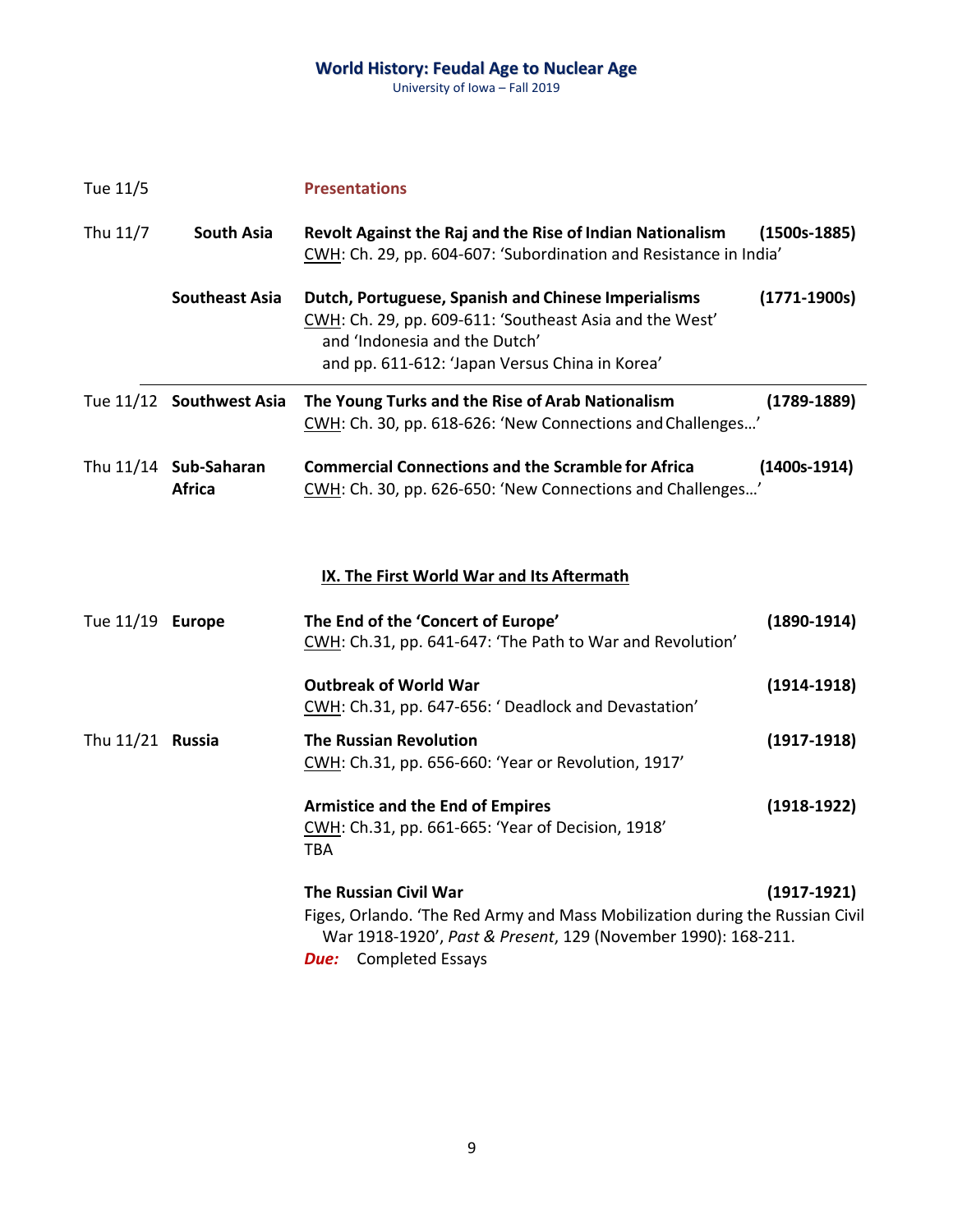| Tue 11/5         |                                        | <b>Presentations</b>                                                                                                                                                                                          |                  |
|------------------|----------------------------------------|---------------------------------------------------------------------------------------------------------------------------------------------------------------------------------------------------------------|------------------|
| Thu 11/7         | <b>South Asia</b>                      | Revolt Against the Raj and the Rise of Indian Nationalism<br>CWH: Ch. 29, pp. 604-607: 'Subordination and Resistance in India'                                                                                | $(1500s-1885)$   |
|                  | <b>Southeast Asia</b>                  | Dutch, Portuguese, Spanish and Chinese Imperialisms<br>CWH: Ch. 29, pp. 609-611: 'Southeast Asia and the West'<br>and 'Indonesia and the Dutch'<br>and pp. 611-612: 'Japan Versus China in Korea'             | $(1771 - 1900s)$ |
|                  | Tue 11/12 Southwest Asia               | The Young Turks and the Rise of Arab Nationalism<br>CWH: Ch. 30, pp. 618-626: 'New Connections and Challenges'                                                                                                | $(1789 - 1889)$  |
|                  | Thu 11/14 Sub-Saharan<br><b>Africa</b> | <b>Commercial Connections and the Scramble for Africa</b><br>CWH: Ch. 30, pp. 626-650: 'New Connections and Challenges'                                                                                       | $(1400s-1914)$   |
|                  |                                        | <b>IX. The First World War and Its Aftermath</b>                                                                                                                                                              |                  |
| Tue 11/19 Europe |                                        | The End of the 'Concert of Europe'<br>CWH: Ch.31, pp. 641-647: 'The Path to War and Revolution'                                                                                                               | $(1890-1914)$    |
|                  |                                        | <b>Outbreak of World War</b><br>CWH: Ch.31, pp. 647-656: 'Deadlock and Devastation'                                                                                                                           | $(1914-1918)$    |
| Thu 11/21 Russia |                                        | <b>The Russian Revolution</b><br>CWH: Ch.31, pp. 656-660: 'Year or Revolution, 1917'                                                                                                                          | $(1917-1918)$    |
|                  |                                        | <b>Armistice and the End of Empires</b><br>CWH: Ch.31, pp. 661-665: 'Year of Decision, 1918'<br><b>TBA</b>                                                                                                    | $(1918-1922)$    |
|                  |                                        | <b>The Russian Civil War</b><br>Figes, Orlando. 'The Red Army and Mass Mobilization during the Russian Civil<br>War 1918-1920', Past & Present, 129 (November 1990): 168-211.<br><b>Due:</b> Completed Essays | $(1917-1921)$    |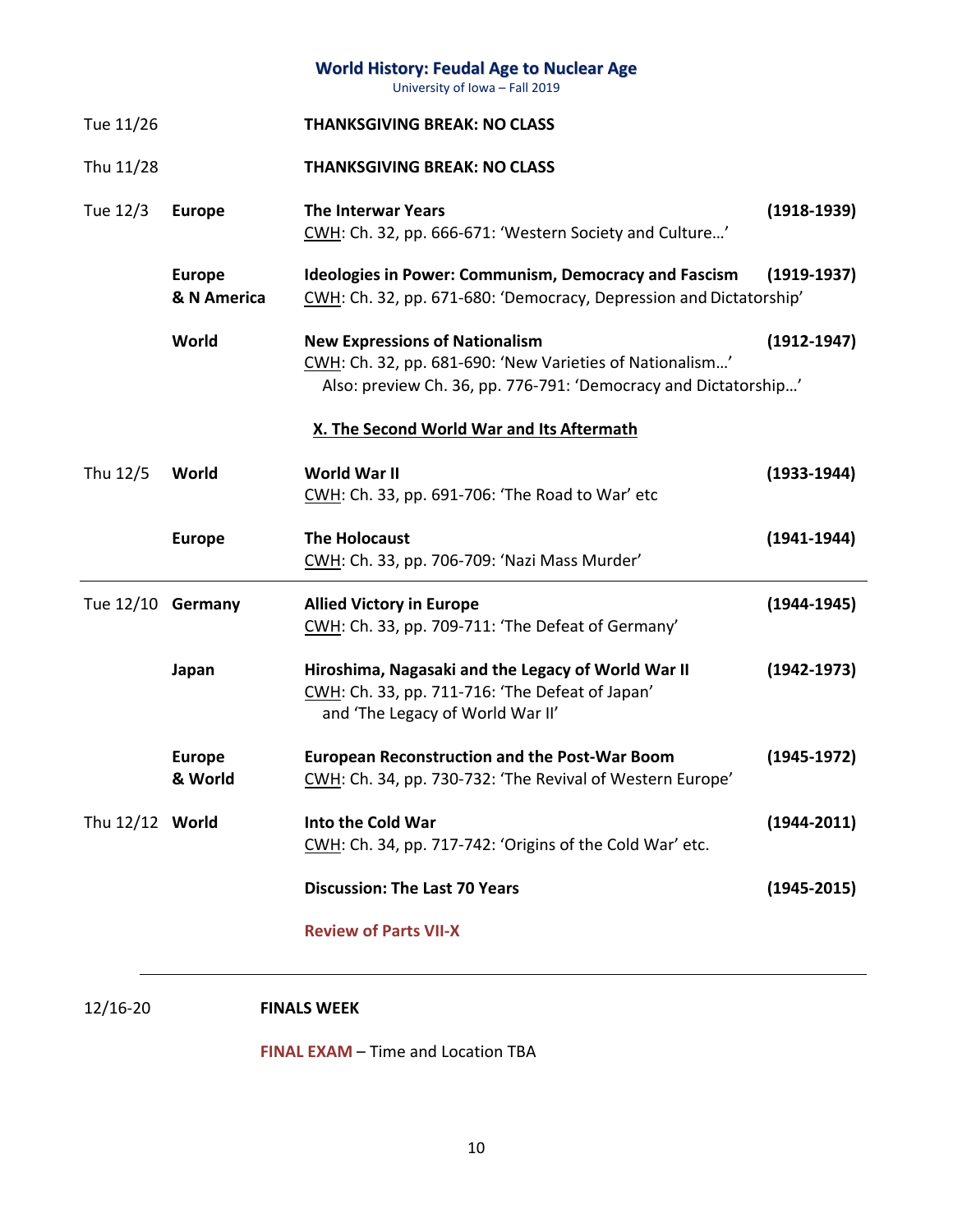|                   |                              | <b>World History: Feudal Age to Nuclear Age</b><br>University of Iowa - Fall 2019                                                                                    |                 |
|-------------------|------------------------------|----------------------------------------------------------------------------------------------------------------------------------------------------------------------|-----------------|
| Tue 11/26         |                              | <b>THANKSGIVING BREAK: NO CLASS</b>                                                                                                                                  |                 |
| Thu 11/28         |                              | <b>THANKSGIVING BREAK: NO CLASS</b>                                                                                                                                  |                 |
| Tue 12/3          | <b>Europe</b>                | <b>The Interwar Years</b><br>CWH: Ch. 32, pp. 666-671: 'Western Society and Culture'                                                                                 | $(1918-1939)$   |
|                   | <b>Europe</b><br>& N America | <b>Ideologies in Power: Communism, Democracy and Fascism</b><br>CWH: Ch. 32, pp. 671-680: 'Democracy, Depression and Dictatorship'                                   | $(1919-1937)$   |
|                   | World                        | <b>New Expressions of Nationalism</b><br>CWH: Ch. 32, pp. 681-690: 'New Varieties of Nationalism'<br>Also: preview Ch. 36, pp. 776-791: 'Democracy and Dictatorship' | $(1912 - 1947)$ |
|                   |                              | X. The Second World War and Its Aftermath                                                                                                                            |                 |
| Thu 12/5          | World                        | World War II<br>CWH: Ch. 33, pp. 691-706: 'The Road to War' etc                                                                                                      | $(1933-1944)$   |
|                   | <b>Europe</b>                | <b>The Holocaust</b><br>CWH: Ch. 33, pp. 706-709: 'Nazi Mass Murder'                                                                                                 | $(1941 - 1944)$ |
| Tue 12/10 Germany |                              | <b>Allied Victory in Europe</b><br>CWH: Ch. 33, pp. 709-711: 'The Defeat of Germany'                                                                                 | $(1944 - 1945)$ |
|                   | Japan                        | Hiroshima, Nagasaki and the Legacy of World War II<br>CWH: Ch. 33, pp. 711-716: 'The Defeat of Japan'<br>and 'The Legacy of World War II'                            | $(1942 - 1973)$ |
|                   | <b>Europe</b><br>& World     | <b>European Reconstruction and the Post-War Boom</b><br>CWH: Ch. 34, pp. 730-732: 'The Revival of Western Europe'                                                    | $(1945-1972)$   |
| Thu 12/12 World   |                              | Into the Cold War<br>CWH: Ch. 34, pp. 717-742: 'Origins of the Cold War' etc.                                                                                        | $(1944 - 2011)$ |
|                   |                              | <b>Discussion: The Last 70 Years</b>                                                                                                                                 | $(1945 - 2015)$ |
|                   |                              | <b>Review of Parts VII-X</b>                                                                                                                                         |                 |
|                   |                              |                                                                                                                                                                      |                 |

12/16-20 **FINALS WEEK**

**FINAL EXAM – Time and Location TBA**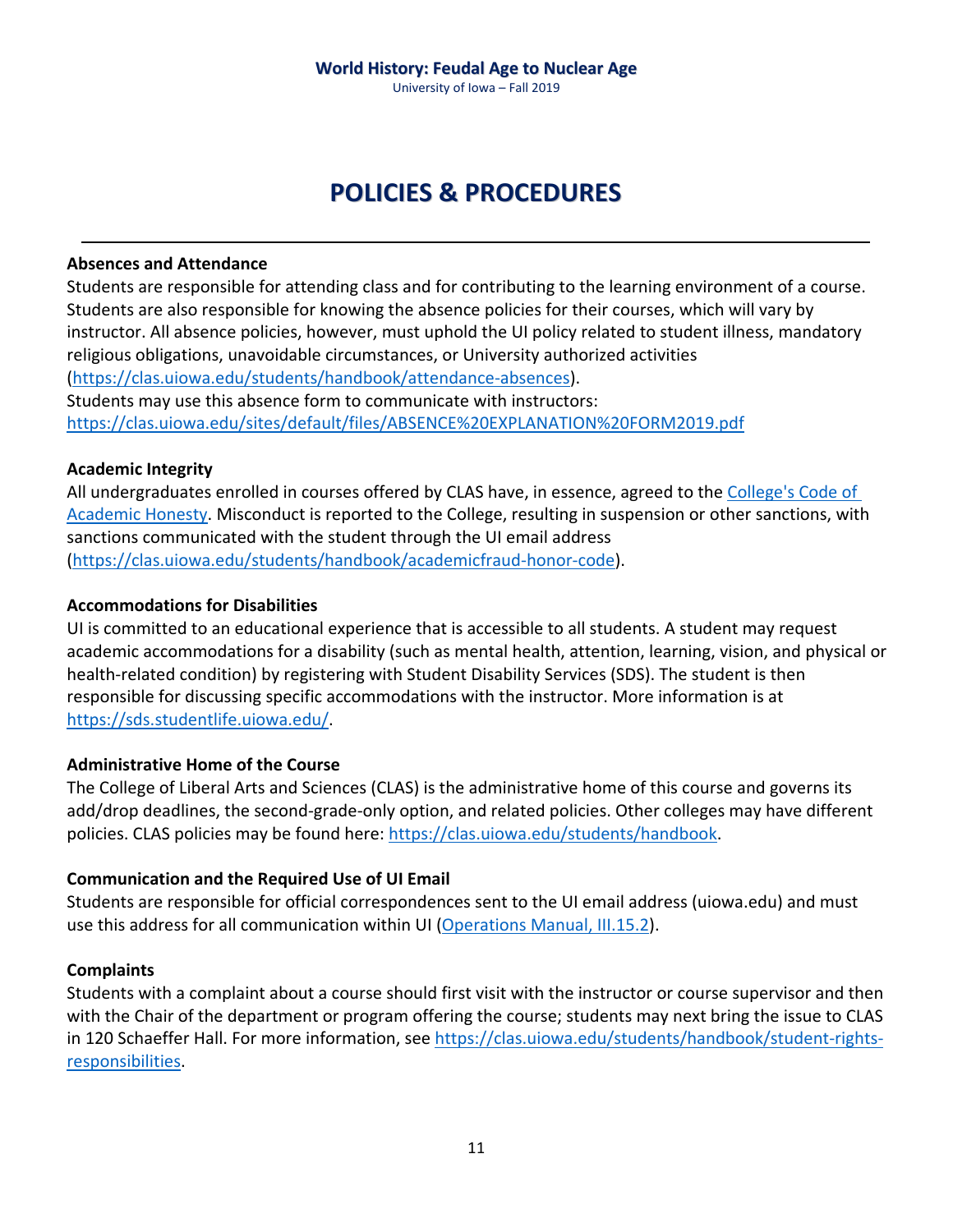# **POLICIES & PROCEDURES**

#### **Absences and Attendance**

Students are responsible for attending class and for contributing to the learning environment of a course. Students are also responsible for knowing the absence policies for their courses, which will vary by instructor. All absence policies, however, must uphold the UI policy related to student illness, mandatory religious obligations, unavoidable circumstances, or University authorized activities ([https://clas.uiowa.edu/students/handbook/attendance](https://clas.uiowa.edu/students/handbook/attendance-absences)-absences). Students may use this absence form to communicate with instructors:

<https://clas.uiowa.edu/sites/default/files/ABSENCE%20EXPLANATION%20FORM2019.pdf>

#### **Academic Integrity**

All undergraduates enrolled in courses offered by CLAS have, in essence, agreed to the [College's Code of](https://clas.uiowa.edu/students/handbook/academic-fraud-honor-code)  [Academic Honesty](https://clas.uiowa.edu/students/handbook/academic-fraud-honor-code). Misconduct is reported to the College, resulting in suspension or other sanctions, with sanctions communicated with the student through the UI email address ([https://clas.uiowa.edu/students/handbook/academicfraud](https://clas.uiowa.edu/students/handbook/academicfraud-honor-code)-honor-code).

#### **Accommodations for Disabilities**

UI is committed to an educational experience that is accessible to all students. A student may request academic accommodations for a disability (such as mental health, attention, learning, vision, and physical or health-related condition) by registering with Student Disability Services (SDS). The student is then responsible for discussing specific accommodations with the instructor. More information is at [https://sds.studentlife.uiowa.edu/.](https://sds.studentlife.uiowa.edu/)

#### **Administrative Home of the Course**

The College of Liberal Arts and Sciences (CLAS) is the administrative home of this course and governs its add/drop deadlines, the second-grade-only option, and related policies. Other colleges may have different policies. CLAS policies may be found here: [https://clas.uiowa.edu/students/handbook.](https://clas.uiowa.edu/students/handbook)

#### **Communication and the Required Use of UI Email**

Students are responsible for official correspondences sent to the UI email address (uiowa.edu) and must use this address for all communication within UI ([Operations Manual, III.15.2\)](https://opsmanual.uiowa.edu/human-resources/professional-ethics-and-academic-responsibility#15.2).

#### **Complaints**

Students with a complaint about a course should first visit with the instructor or course supervisor and then with the Chair of the department or program offering the course; students may next bring the issue to CLAS in 120 Schaeffer Hall. For more information, see [https://clas.uiowa.edu/students/handbook/student](https://clas.uiowa.edu/students/handbook/student-rights-responsibilities)-rights[responsibilities](https://clas.uiowa.edu/students/handbook/student-rights-responsibilities).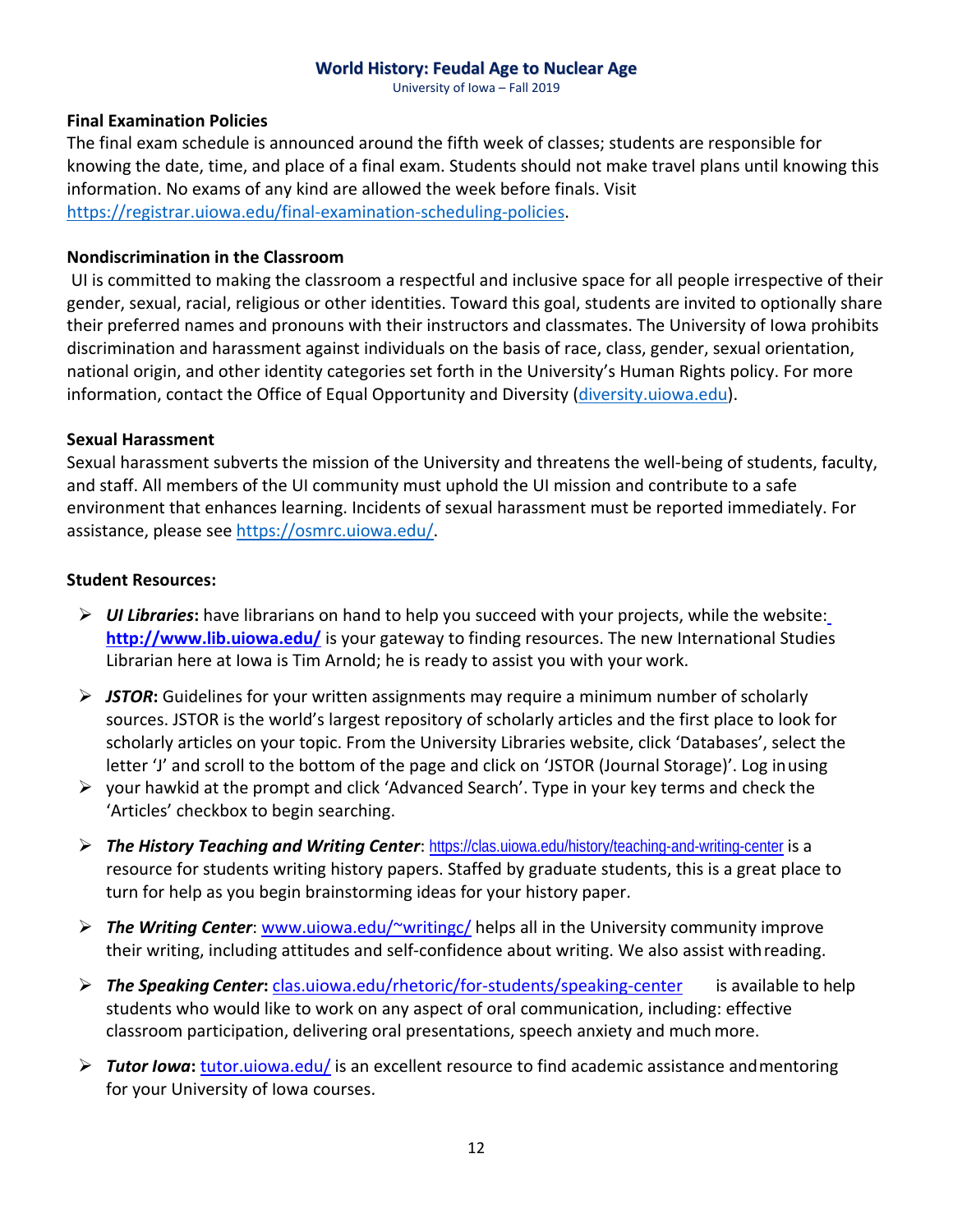University of Iowa – Fall 2019

#### **Final Examination Policies**

The final exam schedule is announced around the fifth week of classes; students are responsible for knowing the date, time, and place of a final exam. Students should not make travel plans until knowing this information. No exams of any kind are allowed the week before finals. Visit https://registrar.uiowa.edu/final[-examination-scheduling-policies](https://registrar.uiowa.edu/final-examination-scheduling-policies).

#### **Nondiscrimination in the Classroom**

UI is committed to making the classroom a respectful and inclusive space for all people irrespective of their gender, sexual, racial, religious or other identities. Toward this goal, students are invited to optionally share their preferred names and pronouns with their instructors and classmates. The University of Iowa prohibits discrimination and harassment against individuals on the basis of race, class, gender, sexual orientation, national origin, and other identity categories set forth in the University's Human Rights policy. For more information, contact the Office of Equal Opportunity and Diversity ([diversity.uiowa.edu\)](https://diversity.uiowa.edu/office/equal-opportunity-and-diversity).

#### **Sexual Harassment**

Sexual harassment subverts the mission of the University and threatens the well-being of students, faculty, and staff. All members of the UI community must uphold the UI mission and contribute to a safe environment that enhances learning. Incidents of sexual harassment must be reported immediately. For assistance, please see [https://osmrc.uiowa.edu/.](https://osmrc.uiowa.edu/)

#### **Student Resources:**

- *UI Libraries***:** have librarians on hand to help you succeed with your projects, while the website[:](http://www.lib.uiowa.edu/) **<http://www.lib.uiowa.edu/>** is your gateway to finding resources. The new International Studies Librarian here at Iowa is Tim Arnold; he is ready to assist you with your work.
- *JSTOR***:** Guidelines for your written assignments may require a minimum number of scholarly sources. JSTOR is the world's largest repository of scholarly articles and the first place to look for scholarly articles on your topic. From the University Libraries website, click 'Databases', select the letter 'J' and scroll to the bottom of the page and click on 'JSTOR (Journal Storage)'. Log inusing
- $\triangleright$  your hawkid at the prompt and click 'Advanced Search'. Type in your key terms and check the 'Articles' checkbox to begin searching.
- *The History Teaching and Writing Center*: <https://clas.uiowa.edu/history/teaching-and-writing-center> is a resource for students writing history papers. Staffed by graduate students, this is a great place to turn for help as you begin brainstorming ideas for your history paper.
- *The Writing Center*: [www.uiowa.edu/~writingc/](http://www.uiowa.edu/%7Ewritingc/) helps all in the University community improve their writing, including attitudes and self-confidence about writing. We also assist withreading.
- *The Speaking Center***:** [clas.uiowa.edu/rhetoric/for](http://clas.uiowa.edu/rhetoric/for-students/speaking-center)-students/speaking-center is available to help students who would like to work on any aspect of oral communication, including: effective classroom participation, delivering oral presentations, speech anxiety and muchmore.
- *Tutor Iowa***:** [tutor.uiowa.edu/](http://tutor.uiowa.edu/) is an excellent resource to find academic assistance andmentoring for your University of Iowa courses.